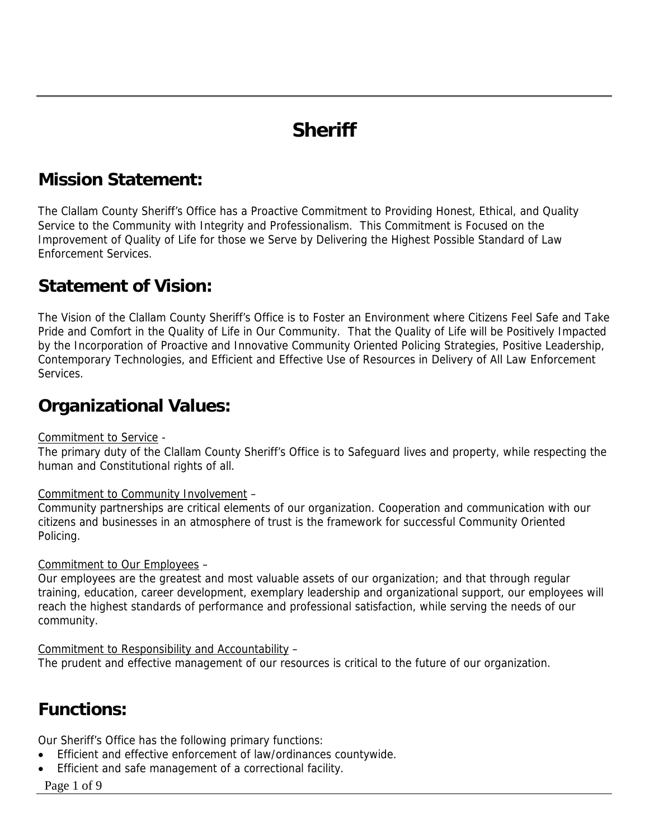# **Sheriff**

## **Mission Statement:**

The Clallam County Sheriff's Office has a Proactive Commitment to Providing Honest, Ethical, and Quality Service to the Community with Integrity and Professionalism. This Commitment is Focused on the Improvement of Quality of Life for those we Serve by Delivering the Highest Possible Standard of Law Enforcement Services.

### **Statement of Vision:**

The Vision of the Clallam County Sheriff's Office is to Foster an Environment where Citizens Feel Safe and Take Pride and Comfort in the Quality of Life in Our Community. That the Quality of Life will be Positively Impacted by the Incorporation of Proactive and Innovative Community Oriented Policing Strategies, Positive Leadership, Contemporary Technologies, and Efficient and Effective Use of Resources in Delivery of All Law Enforcement Services.

### **Organizational Values:**

#### Commitment to Service -

The primary duty of the Clallam County Sheriff's Office is to Safeguard lives and property, while respecting the human and Constitutional rights of all.

#### Commitment to Community Involvement –

Community partnerships are critical elements of our organization. Cooperation and communication with our citizens and businesses in an atmosphere of trust is the framework for successful Community Oriented Policing.

#### Commitment to Our Employees –

Our employees are the greatest and most valuable assets of our organization; and that through regular training, education, career development, exemplary leadership and organizational support, our employees will reach the highest standards of performance and professional satisfaction, while serving the needs of our community.

Commitment to Responsibility and Accountability –

The prudent and effective management of our resources is critical to the future of our organization.

## **Functions:**

Our Sheriff's Office has the following primary functions:

- Efficient and effective enforcement of law/ordinances countywide.
- Efficient and safe management of a correctional facility.
- Page 1 of 9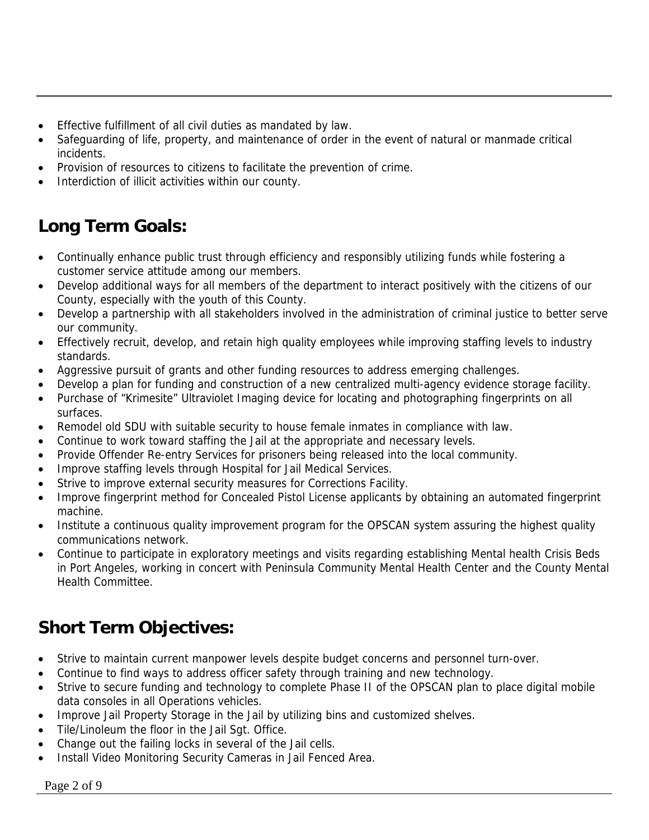- Effective fulfillment of all civil duties as mandated by law.
- Safeguarding of life, property, and maintenance of order in the event of natural or manmade critical incidents.
- Provision of resources to citizens to facilitate the prevention of crime.
- Interdiction of illicit activities within our county.

# **Long Term Goals:**

- Continually enhance public trust through efficiency and responsibly utilizing funds while fostering a customer service attitude among our members.
- Develop additional ways for all members of the department to interact positively with the citizens of our County, especially with the youth of this County.
- Develop a partnership with all stakeholders involved in the administration of criminal justice to better serve our community.
- Effectively recruit, develop, and retain high quality employees while improving staffing levels to industry standards.
- Aggressive pursuit of grants and other funding resources to address emerging challenges.
- Develop a plan for funding and construction of a new centralized multi-agency evidence storage facility.
- Purchase of "Krimesite" Ultraviolet Imaging device for locating and photographing fingerprints on all surfaces.
- Remodel old SDU with suitable security to house female inmates in compliance with law.
- Continue to work toward staffing the Jail at the appropriate and necessary levels.
- Provide Offender Re-entry Services for prisoners being released into the local community.
- Improve staffing levels through Hospital for Jail Medical Services.
- Strive to improve external security measures for Corrections Facility.
- Improve fingerprint method for Concealed Pistol License applicants by obtaining an automated fingerprint machine.
- Institute a continuous quality improvement program for the OPSCAN system assuring the highest quality communications network.
- Continue to participate in exploratory meetings and visits regarding establishing Mental health Crisis Beds in Port Angeles, working in concert with Peninsula Community Mental Health Center and the County Mental Health Committee.

# **Short Term Objectives:**

- Strive to maintain current manpower levels despite budget concerns and personnel turn-over.
- Continue to find ways to address officer safety through training and new technology.
- Strive to secure funding and technology to complete Phase II of the OPSCAN plan to place digital mobile data consoles in all Operations vehicles.
- Improve Jail Property Storage in the Jail by utilizing bins and customized shelves.
- Tile/Linoleum the floor in the Jail Sgt. Office.
- Change out the failing locks in several of the Jail cells.
- Install Video Monitoring Security Cameras in Jail Fenced Area.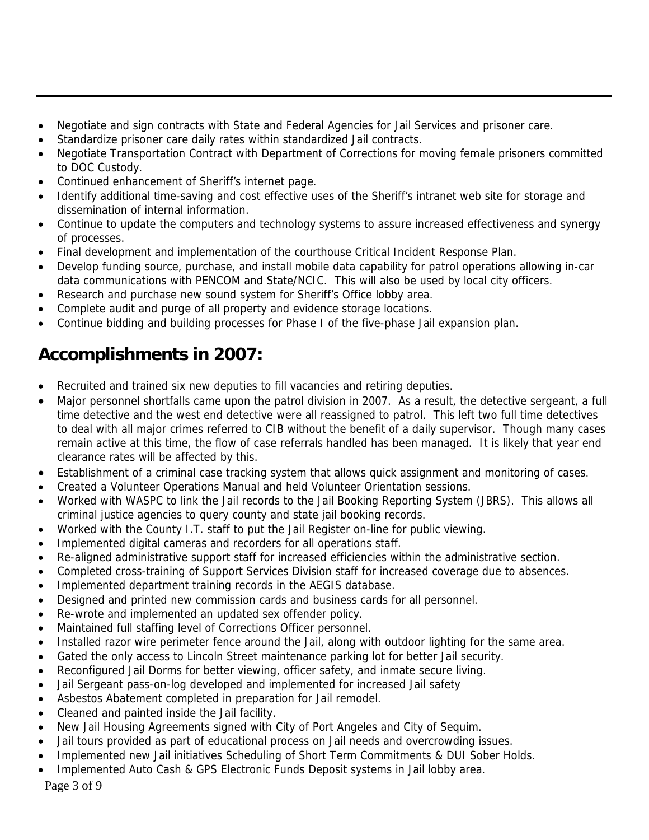- Negotiate and sign contracts with State and Federal Agencies for Jail Services and prisoner care.
- Standardize prisoner care daily rates within standardized Jail contracts.
- Negotiate Transportation Contract with Department of Corrections for moving female prisoners committed to DOC Custody.
- Continued enhancement of Sheriff's internet page.
- Identify additional time-saving and cost effective uses of the Sheriff's intranet web site for storage and dissemination of internal information.
- Continue to update the computers and technology systems to assure increased effectiveness and synergy of processes.
- Final development and implementation of the courthouse Critical Incident Response Plan.
- Develop funding source, purchase, and install mobile data capability for patrol operations allowing in-car data communications with PENCOM and State/NCIC. This will also be used by local city officers.
- Research and purchase new sound system for Sheriff's Office lobby area.
- Complete audit and purge of all property and evidence storage locations.
- Continue bidding and building processes for Phase I of the five-phase Jail expansion plan.

# **Accomplishments in 2007:**

- Recruited and trained six new deputies to fill vacancies and retiring deputies.
- Major personnel shortfalls came upon the patrol division in 2007. As a result, the detective sergeant, a full time detective and the west end detective were all reassigned to patrol. This left two full time detectives to deal with all major crimes referred to CIB without the benefit of a daily supervisor. Though many cases remain active at this time, the flow of case referrals handled has been managed. It is likely that year end clearance rates will be affected by this.
- Establishment of a criminal case tracking system that allows quick assignment and monitoring of cases.
- Created a Volunteer Operations Manual and held Volunteer Orientation sessions.
- Worked with WASPC to link the Jail records to the Jail Booking Reporting System (JBRS). This allows all criminal justice agencies to query county and state jail booking records.
- Worked with the County I.T. staff to put the Jail Register on-line for public viewing.
- Implemented digital cameras and recorders for all operations staff.
- Re-aligned administrative support staff for increased efficiencies within the administrative section.
- Completed cross-training of Support Services Division staff for increased coverage due to absences.
- Implemented department training records in the AEGIS database.
- Designed and printed new commission cards and business cards for all personnel.
- Re-wrote and implemented an updated sex offender policy.
- Maintained full staffing level of Corrections Officer personnel.
- Installed razor wire perimeter fence around the Jail, along with outdoor lighting for the same area.
- Gated the only access to Lincoln Street maintenance parking lot for better Jail security.
- Reconfigured Jail Dorms for better viewing, officer safety, and inmate secure living.
- Jail Sergeant pass-on-log developed and implemented for increased Jail safety
- Asbestos Abatement completed in preparation for Jail remodel.
- Cleaned and painted inside the Jail facility.
- New Jail Housing Agreements signed with City of Port Angeles and City of Sequim.
- Jail tours provided as part of educational process on Jail needs and overcrowding issues.
- Implemented new Jail initiatives Scheduling of Short Term Commitments & DUI Sober Holds.
- Implemented Auto Cash & GPS Electronic Funds Deposit systems in Jail lobby area.
- Page 3 of 9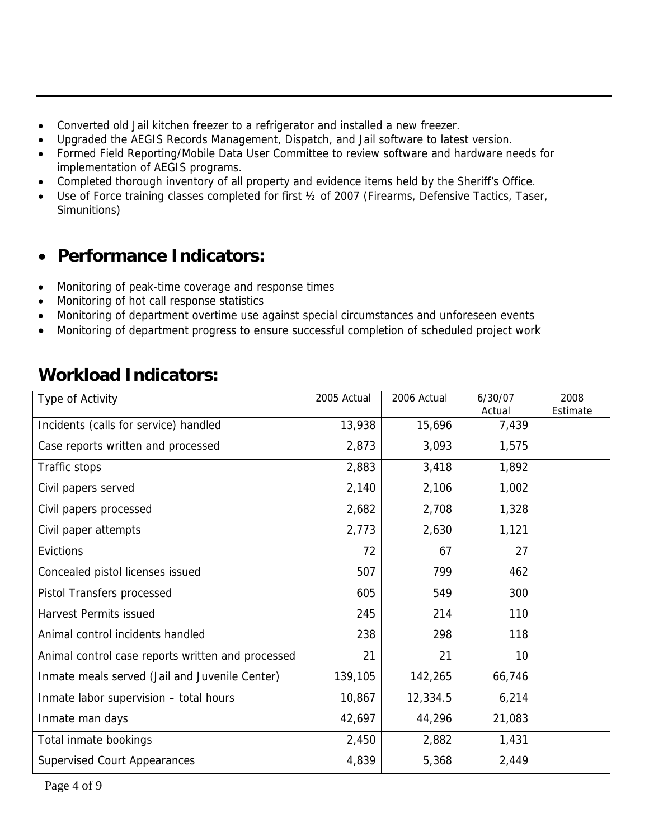- Converted old Jail kitchen freezer to a refrigerator and installed a new freezer.
- Upgraded the AEGIS Records Management, Dispatch, and Jail software to latest version.
- Formed Field Reporting/Mobile Data User Committee to review software and hardware needs for implementation of AEGIS programs.
- Completed thorough inventory of all property and evidence items held by the Sheriff's Office.
- Use of Force training classes completed for first 1/2 of 2007 (Firearms, Defensive Tactics, Taser, Simunitions)

## • **Performance Indicators:**

- Monitoring of peak-time coverage and response times
- Monitoring of hot call response statistics
- Monitoring of department overtime use against special circumstances and unforeseen events
- Monitoring of department progress to ensure successful completion of scheduled project work

## **Workload Indicators:**

| Type of Activity                                  | 2005 Actual | 2006 Actual | 6/30/07<br>Actual | 2008<br>Estimate |
|---------------------------------------------------|-------------|-------------|-------------------|------------------|
| Incidents (calls for service) handled             | 13,938      | 15,696      | 7,439             |                  |
| Case reports written and processed                | 2,873       | 3,093       | 1,575             |                  |
| Traffic stops                                     | 2,883       | 3,418       | 1,892             |                  |
| Civil papers served                               | 2,140       | 2,106       | 1,002             |                  |
| Civil papers processed                            | 2,682       | 2,708       | 1,328             |                  |
| Civil paper attempts                              | 2,773       | 2,630       | 1,121             |                  |
| Evictions                                         | 72          | 67          | 27                |                  |
| Concealed pistol licenses issued                  | 507         | 799         | 462               |                  |
| Pistol Transfers processed                        | 605         | 549         | 300               |                  |
| <b>Harvest Permits issued</b>                     | 245         | 214         | 110               |                  |
| Animal control incidents handled                  | 238         | 298         | 118               |                  |
| Animal control case reports written and processed | 21          | 21          | 10                |                  |
| Inmate meals served (Jail and Juvenile Center)    | 139,105     | 142,265     | 66,746            |                  |
| Inmate labor supervision - total hours            | 10,867      | 12,334.5    | 6,214             |                  |
| Inmate man days                                   | 42,697      | 44,296      | 21,083            |                  |
| Total inmate bookings                             | 2,450       | 2,882       | 1,431             |                  |
| <b>Supervised Court Appearances</b>               | 4,839       | 5,368       | 2,449             |                  |

Page 4 of 9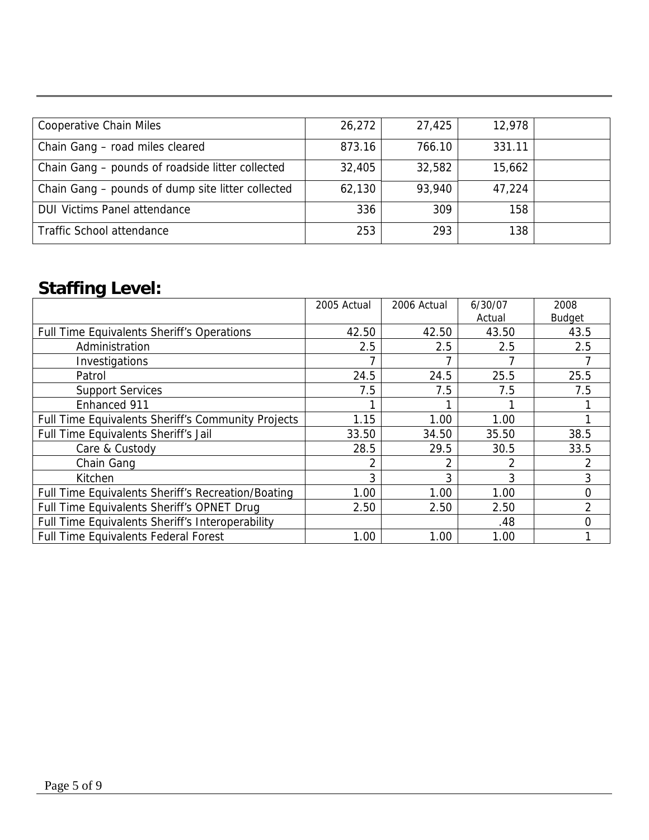| <b>Cooperative Chain Miles</b>                    | 26,272 | 27,425 | 12,978 |  |
|---------------------------------------------------|--------|--------|--------|--|
| Chain Gang - road miles cleared                   | 873.16 | 766.10 | 331.11 |  |
| Chain Gang – pounds of roadside litter collected  | 32,405 | 32,582 | 15,662 |  |
| Chain Gang - pounds of dump site litter collected | 62,130 | 93,940 | 47,224 |  |
| <b>DUI Victims Panel attendance</b>               | 336    | 309    | 158    |  |
| Traffic School attendance                         | 253    | 293    | 138    |  |

# **Staffing Level:**

|                                                    | 2005 Actual | 2006 Actual | 6/30/07 | 2008           |
|----------------------------------------------------|-------------|-------------|---------|----------------|
|                                                    |             |             | Actual  | <b>Budget</b>  |
| Full Time Equivalents Sheriff's Operations         | 42.50       | 42.50       | 43.50   | 43.5           |
| Administration                                     | 2.5         | 2.5         | 2.5     | 2.5            |
| Investigations                                     |             |             |         |                |
| Patrol                                             | 24.5        | 24.5        | 25.5    | 25.5           |
| <b>Support Services</b>                            | 7.5         | 7.5         | 7.5     | 7.5            |
| Enhanced 911                                       |             |             |         |                |
| Full Time Equivalents Sheriff's Community Projects | 1.15        | 1.00        | 1.00    |                |
| Full Time Equivalents Sheriff's Jail               | 33.50       | 34.50       | 35.50   | 38.5           |
| Care & Custody                                     | 28.5        | 29.5        | 30.5    | 33.5           |
| Chain Gang                                         |             |             |         |                |
| Kitchen                                            | 3           | 3           | 3       | 3              |
| Full Time Equivalents Sheriff's Recreation/Boating | 1.00        | 1.00        | 1.00    | 0              |
| Full Time Equivalents Sheriff's OPNET Drug         | 2.50        | 2.50        | 2.50    | $\overline{2}$ |
| Full Time Equivalents Sheriff's Interoperability   |             |             | .48     | 0              |
| <b>Full Time Equivalents Federal Forest</b>        | 1.00        | 1.00        | 1.00    |                |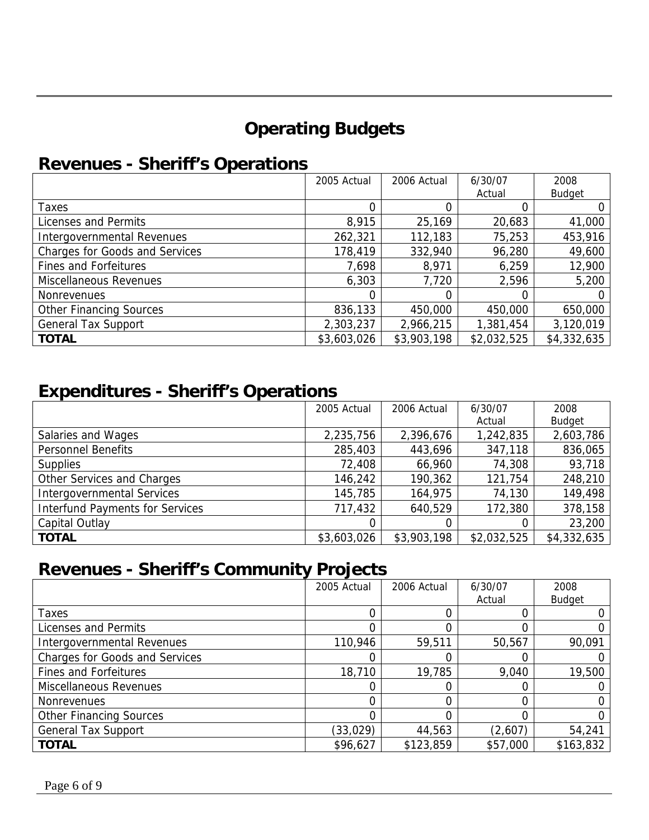# **Operating Budgets**

## **Revenues - Sheriff's Operations**

|                                       | 2005 Actual | 2006 Actual | 6/30/07     | 2008          |
|---------------------------------------|-------------|-------------|-------------|---------------|
|                                       |             |             | Actual      | <b>Budget</b> |
| Taxes                                 |             |             |             |               |
| Licenses and Permits                  | 8,915       | 25,169      | 20,683      | 41,000        |
| Intergovernmental Revenues            | 262,321     | 112,183     | 75,253      | 453,916       |
| <b>Charges for Goods and Services</b> | 178,419     | 332,940     | 96,280      | 49,600        |
| <b>Fines and Forfeitures</b>          | 7,698       | 8,971       | 6,259       | 12,900        |
| Miscellaneous Revenues                | 6,303       | 7,720       | 2,596       | 5,200         |
| <b>Nonrevenues</b>                    |             | 0           |             |               |
| <b>Other Financing Sources</b>        | 836,133     | 450,000     | 450,000     | 650,000       |
| <b>General Tax Support</b>            | 2,303,237   | 2,966,215   | 1,381,454   | 3,120,019     |
| <b>TOTAL</b>                          | \$3,603,026 | \$3,903,198 | \$2,032,525 | \$4,332,635   |

## **Expenditures - Sheriff's Operations**

|                                        | 2005 Actual | 2006 Actual | 6/30/07     | 2008          |
|----------------------------------------|-------------|-------------|-------------|---------------|
|                                        |             |             | Actual      | <b>Budget</b> |
| Salaries and Wages                     | 2,235,756   | 2,396,676   | 1,242,835   | 2,603,786     |
| <b>Personnel Benefits</b>              | 285,403     | 443,696     | 347,118     | 836,065       |
| <b>Supplies</b>                        | 72,408      | 66,960      | 74,308      | 93,718        |
| Other Services and Charges             | 146,242     | 190,362     | 121,754     | 248,210       |
| <b>Intergovernmental Services</b>      | 145,785     | 164,975     | 74,130      | 149,498       |
| <b>Interfund Payments for Services</b> | 717,432     | 640,529     | 172,380     | 378,158       |
| Capital Outlay                         |             |             |             | 23,200        |
| <b>TOTAL</b>                           | \$3,603,026 | \$3,903,198 | \$2,032,525 | \$4,332,635   |

# **Revenues - Sheriff's Community Projects**

|                                       | 2005 Actual | 2006 Actual | 6/30/07  | 2008          |
|---------------------------------------|-------------|-------------|----------|---------------|
|                                       |             |             | Actual   | <b>Budget</b> |
| Taxes                                 |             |             |          |               |
| Licenses and Permits                  |             |             |          |               |
| Intergovernmental Revenues            | 110,946     | 59,511      | 50,567   | 90,091        |
| <b>Charges for Goods and Services</b> |             |             |          |               |
| <b>Fines and Forfeitures</b>          | 18,710      | 19,785      | 9,040    | 19,500        |
| Miscellaneous Revenues                |             |             |          |               |
| Nonrevenues                           |             |             |          |               |
| <b>Other Financing Sources</b>        |             |             |          |               |
| <b>General Tax Support</b>            | (33, 029)   | 44,563      | (2,607)  | 54,241        |
| <b>TOTAL</b>                          | \$96,627    | \$123,859   | \$57,000 | \$163,832     |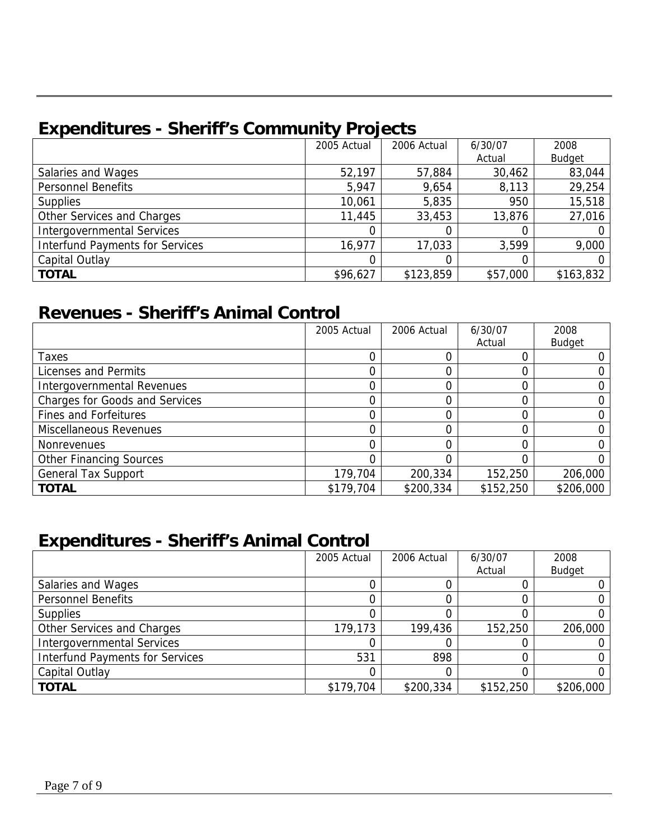# **Expenditures - Sheriff's Community Projects**

|                                        | 2005 Actual | 2006 Actual | 6/30/07  | 2008          |
|----------------------------------------|-------------|-------------|----------|---------------|
|                                        |             |             | Actual   | <b>Budget</b> |
| Salaries and Wages                     | 52,197      | 57,884      | 30,462   | 83,044        |
| <b>Personnel Benefits</b>              | 5,947       | 9,654       | 8,113    | 29,254        |
| <b>Supplies</b>                        | 10,061      | 5,835       | 950      | 15,518        |
| Other Services and Charges             | 11,445      | 33,453      | 13,876   | 27,016        |
| <b>Intergovernmental Services</b>      |             |             |          |               |
| <b>Interfund Payments for Services</b> | 16,977      | 17,033      | 3,599    | 9,000         |
| Capital Outlay                         |             |             |          |               |
| <b>TOTAL</b>                           | \$96,627    | \$123,859   | \$57,000 | \$163,832     |

## **Revenues - Sheriff's Animal Control**

|                                | 2005 Actual | 2006 Actual | 6/30/07   | 2008          |
|--------------------------------|-------------|-------------|-----------|---------------|
|                                |             |             | Actual    | <b>Budget</b> |
| Taxes                          |             |             |           |               |
| Licenses and Permits           |             |             |           |               |
| Intergovernmental Revenues     |             |             |           |               |
| Charges for Goods and Services |             |             |           |               |
| <b>Fines and Forfeitures</b>   |             |             |           |               |
| Miscellaneous Revenues         |             | ი           |           |               |
| <b>Nonrevenues</b>             |             | O           |           |               |
| <b>Other Financing Sources</b> |             | 0           |           |               |
| <b>General Tax Support</b>     | 179,704     | 200,334     | 152,250   | 206,000       |
| <b>TOTAL</b>                   | \$179,704   | \$200,334   | \$152,250 | \$206,000     |

## **Expenditures - Sheriff's Animal Control**

|                                        | 2005 Actual | 2006 Actual | 6/30/07   | 2008          |
|----------------------------------------|-------------|-------------|-----------|---------------|
|                                        |             |             | Actual    | <b>Budget</b> |
| Salaries and Wages                     |             |             |           |               |
| <b>Personnel Benefits</b>              |             |             |           |               |
| <b>Supplies</b>                        |             |             |           |               |
| Other Services and Charges             | 179,173     | 199,436     | 152,250   | 206,000       |
| <b>Intergovernmental Services</b>      |             |             |           |               |
| <b>Interfund Payments for Services</b> | 531         | 898         |           |               |
| Capital Outlay                         |             |             |           |               |
| <b>TOTAL</b>                           | \$179,704   | \$200,334   | \$152,250 | \$206,000     |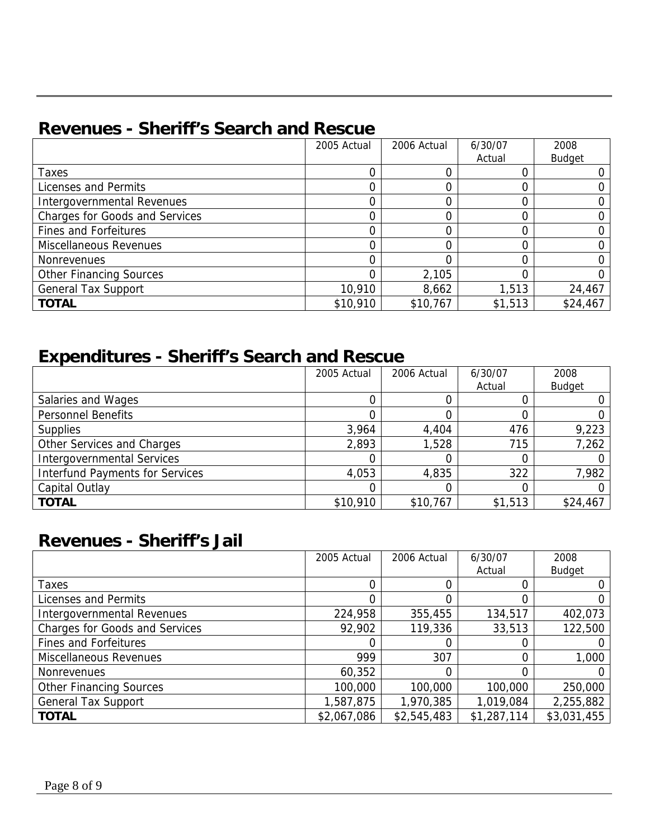## **Revenues - Sheriff's Search and Rescue**

|                                       | 2005 Actual | 2006 Actual | 6/30/07 | 2008     |
|---------------------------------------|-------------|-------------|---------|----------|
|                                       |             |             | Actual  | Budget   |
| Taxes                                 |             |             |         |          |
| Licenses and Permits                  |             |             |         |          |
| Intergovernmental Revenues            |             |             |         |          |
| <b>Charges for Goods and Services</b> |             |             |         |          |
| <b>Fines and Forfeitures</b>          |             |             |         |          |
| Miscellaneous Revenues                |             |             |         |          |
| <b>Nonrevenues</b>                    |             |             |         |          |
| <b>Other Financing Sources</b>        |             | 2,105       |         |          |
| <b>General Tax Support</b>            | 10,910      | 8,662       | 1,513   | 24,467   |
| <b>TOTAL</b>                          | \$10,910    | \$10,767    | \$1,513 | \$24,467 |

## **Expenditures - Sheriff's Search and Rescue**

|                                        | 2005 Actual | 2006 Actual | 6/30/07 | 2008          |
|----------------------------------------|-------------|-------------|---------|---------------|
|                                        |             |             | Actual  | <b>Budget</b> |
| Salaries and Wages                     |             |             |         |               |
| <b>Personnel Benefits</b>              |             |             |         |               |
| <b>Supplies</b>                        | 3,964       | 4,404       | 476     | 9,223         |
| Other Services and Charges             | 2,893       | 1,528       | 715     | 7,262         |
| <b>Intergovernmental Services</b>      |             |             |         |               |
| <b>Interfund Payments for Services</b> | 4,053       | 4,835       | 322     | 7,982         |
| Capital Outlay                         |             |             |         |               |
| <b>TOTAL</b>                           | \$10,910    | \$10,767    | \$1,513 | \$24,467      |

## **Revenues - Sheriff's Jail**

|                                       | 2005 Actual | 2006 Actual | 6/30/07     | 2008          |
|---------------------------------------|-------------|-------------|-------------|---------------|
|                                       |             |             | Actual      | <b>Budget</b> |
| Taxes                                 | 0           |             |             |               |
| Licenses and Permits                  |             |             |             |               |
| Intergovernmental Revenues            | 224,958     | 355,455     | 134,517     | 402,073       |
| <b>Charges for Goods and Services</b> | 92,902      | 119,336     | 33,513      | 122,500       |
| Fines and Forfeitures                 |             |             |             |               |
| Miscellaneous Revenues                | 999         | 307         |             | 1,000         |
| Nonrevenues                           | 60,352      | 0           |             |               |
| <b>Other Financing Sources</b>        | 100,000     | 100,000     | 100,000     | 250,000       |
| <b>General Tax Support</b>            | 1,587,875   | 1,970,385   | 1,019,084   | 2,255,882     |
| <b>TOTAL</b>                          | \$2,067,086 | \$2,545,483 | \$1,287,114 | \$3,031,455   |